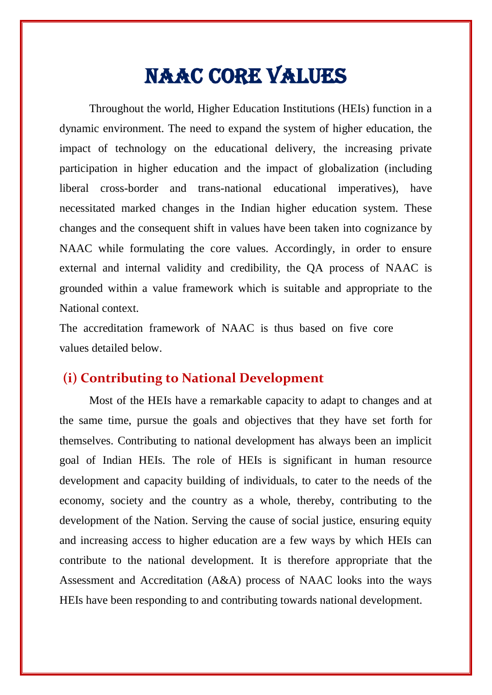# NAAC Core Values

Throughout the world, Higher Education Institutions (HEIs) function in a dynamic environment. The need to expand the system of higher education, the impact of technology on the educational delivery, the increasing private participation in higher education and the impact of globalization (including liberal cross-border and trans-national educational imperatives), have necessitated marked changes in the Indian higher education system. These changes and the consequent shift in values have been taken into cognizance by NAAC while formulating the core values. Accordingly, in order to ensure external and internal validity and credibility, the QA process of NAAC is grounded within a value framework which is suitable and appropriate to the National context.

The accreditation framework of NAAC is thus based on five core values detailed below.

### **(i) Contributing to National Development**

Most of the HEIs have a remarkable capacity to adapt to changes and at the same time, pursue the goals and objectives that they have set forth for themselves. Contributing to national development has always been an implicit goal of Indian HEIs. The role of HEIs is significant in human resource development and capacity building of individuals, to cater to the needs of the economy, society and the country as a whole, thereby, contributing to the development of the Nation. Serving the cause of social justice, ensuring equity and increasing access to higher education are a few ways by which HEIs can contribute to the national development. It is therefore appropriate that the Assessment and Accreditation (A&A) process of NAAC looks into the ways HEIs have been responding to and contributing towards national development.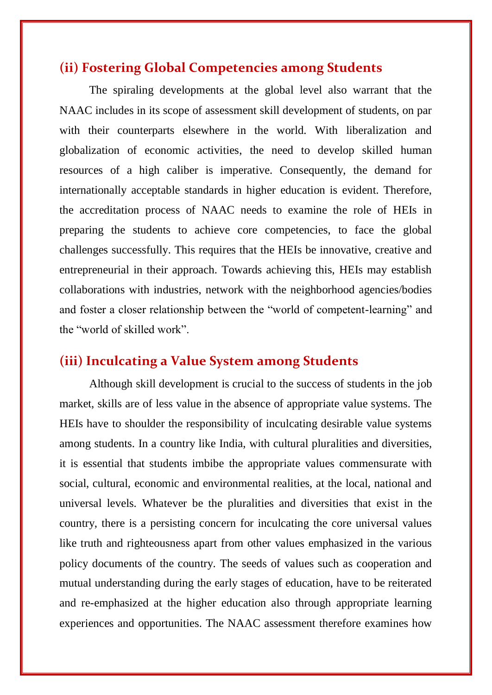## **(ii) Fostering Global Competencies among Students**

The spiraling developments at the global level also warrant that the NAAC includes in its scope of assessment skill development of students, on par with their counterparts elsewhere in the world. With liberalization and globalization of economic activities, the need to develop skilled human resources of a high caliber is imperative. Consequently, the demand for internationally acceptable standards in higher education is evident. Therefore, the accreditation process of NAAC needs to examine the role of HEIs in preparing the students to achieve core competencies, to face the global challenges successfully. This requires that the HEIs be innovative, creative and entrepreneurial in their approach. Towards achieving this, HEIs may establish collaborations with industries, network with the neighborhood agencies/bodies and foster a closer relationship between the "world of competent-learning" and the "world of skilled work".

## **(iii) Inculcating a Value System among Students**

Although skill development is crucial to the success of students in the job market, skills are of less value in the absence of appropriate value systems. The HEIs have to shoulder the responsibility of inculcating desirable value systems among students. In a country like India, with cultural pluralities and diversities, it is essential that students imbibe the appropriate values commensurate with social, cultural, economic and environmental realities, at the local, national and universal levels. Whatever be the pluralities and diversities that exist in the country, there is a persisting concern for inculcating the core universal values like truth and righteousness apart from other values emphasized in the various policy documents of the country. The seeds of values such as cooperation and mutual understanding during the early stages of education, have to be reiterated and re-emphasized at the higher education also through appropriate learning experiences and opportunities. The NAAC assessment therefore examines how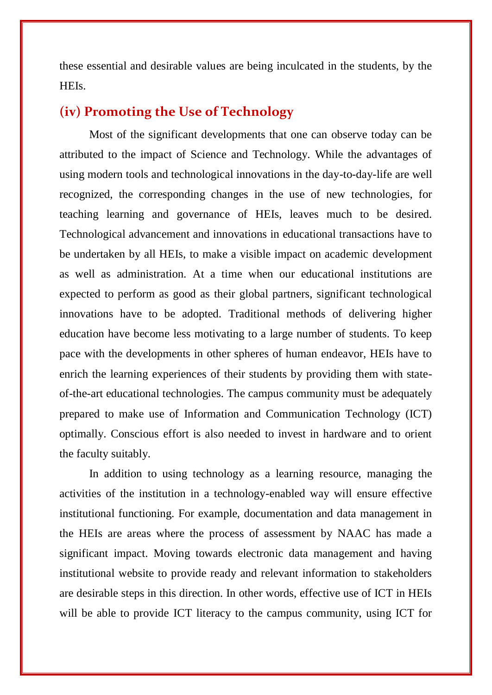these essential and desirable values are being inculcated in the students, by the HEIs.

### **(iv) Promoting the Use of Technology**

Most of the significant developments that one can observe today can be attributed to the impact of Science and Technology. While the advantages of using modern tools and technological innovations in the day-to-day-life are well recognized, the corresponding changes in the use of new technologies, for teaching learning and governance of HEIs, leaves much to be desired. Technological advancement and innovations in educational transactions have to be undertaken by all HEIs, to make a visible impact on academic development as well as administration. At a time when our educational institutions are expected to perform as good as their global partners, significant technological innovations have to be adopted. Traditional methods of delivering higher education have become less motivating to a large number of students. To keep pace with the developments in other spheres of human endeavor, HEIs have to enrich the learning experiences of their students by providing them with stateof-the-art educational technologies. The campus community must be adequately prepared to make use of Information and Communication Technology (ICT) optimally. Conscious effort is also needed to invest in hardware and to orient the faculty suitably.

In addition to using technology as a learning resource, managing the activities of the institution in a technology-enabled way will ensure effective institutional functioning. For example, documentation and data management in the HEIs are areas where the process of assessment by NAAC has made a significant impact. Moving towards electronic data management and having institutional website to provide ready and relevant information to stakeholders are desirable steps in this direction. In other words, effective use of ICT in HEIs will be able to provide ICT literacy to the campus community, using ICT for